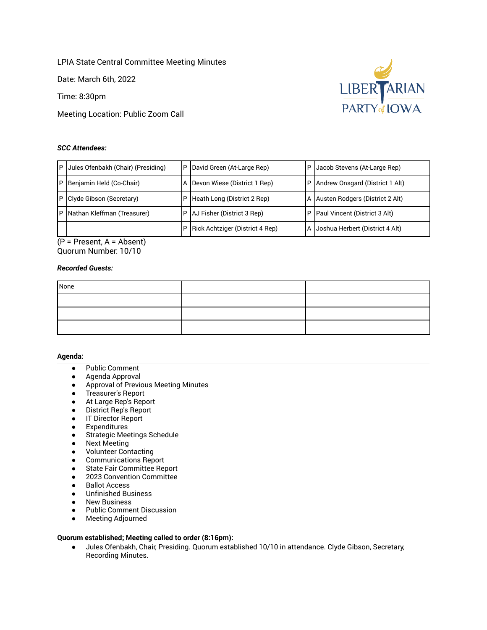LPIA State Central Committee Meeting Minutes

Date: March 6th, 2022

Time: 8:30pm

Meeting Location: Public Zoom Call

# *SCC Attendees:*



 (P = Present, A = Absent) Quorum Number: 10/10

# *Recorded Guests:*

| None |  |
|------|--|
|      |  |
|      |  |
|      |  |

#### **Agenda:**

- Public Comment
- Agenda Approval
- Approval of Previous Meeting Minutes
- Treasurer's Report
- At Large Rep's Report
- District Rep's Report
- IT Director Report
- Expenditures
- Strategic Meetings Schedule
- Next Meeting
- Volunteer Contacting
- Communications Report
- State Fair Committee Report
- 2023 Convention Committee
- Ballot Access
- Unfinished Business
- New Business
- Public Comment Discussion
- Meeting Adjourned

# **Quorum established; Meeting called to order (8:16pm):**

 ● Jules Ofenbakh, Chair, Presiding. Quorum established 10/10 in attendance. Clyde Gibson, Secretary, Recording Minutes.

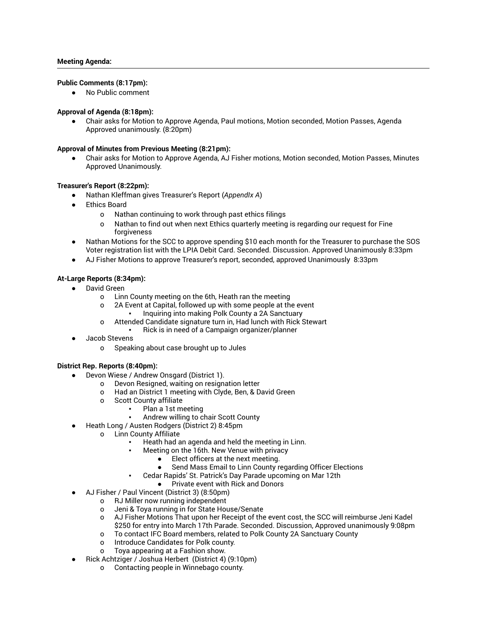# **Public Comments (8:17pm):**

● No Public comment

# **Approval of Agenda (8:18pm):**

Chair asks for Motion to Approve Agenda, Paul motions, Motion seconded, Motion Passes, Agenda Approved unanimously. (8:20pm)

# **Approval of Minutes from Previous Meeting (8:21pm):**

Chair asks for Motion to Approve Agenda, AJ Fisher motions, Motion seconded, Motion Passes, Minutes Approved Unanimously.

# **Treasurer's Report (8:22pm):**

- Nathan Kleffman gives Treasurer's Report ( *AppendIx A* )
- **Ethics Board** 
	- o Nathan continuing to work through past ethics filings
	- o Nathan to find out when next Ethics quarterly meeting is regarding our request for Fine forgiveness
- Nathan Motions for the SCC to approve spending \$10 each month for the Treasurer to purchase the SOS Voter registration list with the LPIA Debit Card. Seconded. Discussion. Approved Unanimously 8:33pm
- AJ Fisher Motions to approve Treasurer's report, seconded, approved Unanimously 8:33pm

# **At-Large Reports (8:34pm):**

- David Green
	- o Linn County meeting on the 6th, Heath ran the meeting
	- o 2A Event at Capital, followed up with some people at the event
	- Inquiring into making Polk County a 2A Sanctuary
	- o Attended Candidate signature turn in, Had lunch with Rick Stewart
		- Rick is in need of a Campaign organizer/planner
- Jacob Stevens
	- o Speaking about case brought up to Jules

# **District Rep. Reports (8:40pm):**

- Devon Wiese / Andrew Onsgard (District 1).
	- o Devon Resigned, waiting on resignation letter
	- o Had an District 1 meeting with Clyde, Ben, & David Green
	- o Scott County affiliate
		- Plan a 1st meeting
		- Andrew willing to chair Scott County
- Heath Long / Austen Rodgers (District 2) 8:45pm
	- o Linn County Affiliate
		- Heath had an agenda and held the meeting in Linn.
			- Meeting on the 16th. New Venue with privacy
				- Elect officers at the next meeting.
				- Send Mass Email to Linn County regarding Officer Elections
				- Cedar Rapids' St. Patrick's Day Parade upcoming on Mar 12th
				- Private event with Rick and Donors
- AJ Fisher / Paul Vincent (District 3) (8:50pm)
	- o RJ Miller now running independent
	- o Jeni & Toya running in for State House/Senate
	- o AJ Fisher Motions That upon her Receipt of the event cost, the SCC will reimburse Jeni Kadel \$250 for entry into March 17th Parade. Seconded. Discussion, Approved unanimously 9:08pm
	- o To contact IFC Board members, related to Polk County 2A Sanctuary County
	- o Introduce Candidates for Polk county.
	- o Toya appearing at a Fashion show.
- Rick Achtziger / Joshua Herbert (District 4) (9:10pm)
	- o Contacting people in Winnebago county.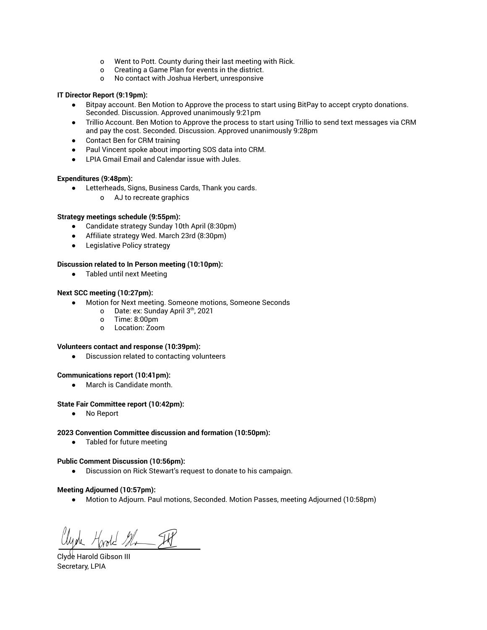- o Went to Pott. County during their last meeting with Rick.
- o Creating a Game Plan for events in the district.
- o No contact with Joshua Herbert, unresponsive

# **IT Director Report (9:19pm):**

- Bitpay account. Ben Motion to Approve the process to start using BitPay to accept crypto donations. Seconded. Discussion. Approved unanimously 9:21pm
- Trillio Account. Ben Motion to Approve the process to start using Trillio to send text messages via CRM and pay the cost. Seconded. Discussion. Approved unanimously 9:28pm
- Contact Ben for CRM training
- Paul Vincent spoke about importing SOS data into CRM.
- LPIA Gmail Email and Calendar issue with Jules.

# **Expenditures (9:48pm):**

- Letterheads, Signs, Business Cards, Thank you cards.
	- o AJ to recreate graphics

# **Strategy meetings schedule (9:55pm):**

- Candidate strategy Sunday 10th April (8:30pm)
- Affiliate strategy Wed. March 23rd (8:30pm)
- Legislative Policy strategy

# **Discussion related to In Person meeting (10:10pm):**

● Tabled until next Meeting

# **Next SCC meeting (10:27pm):**

- Motion for Next meeting. Someone motions, Someone Seconds
	- o Date: ex: Sunday April 3<sup>th</sup>, 2021
	- o Time: 8:00pm
	- o Location: Zoom

#### **Volunteers contact and response (10:39pm):**

● Discussion related to contacting volunteers

#### **Communications report (10:41pm):**

● March is Candidate month.

#### **State Fair Committee report (10:42pm):**

● No Report

#### **2023 Convention Committee discussion and formation (10:50pm):**

● Tabled for future meeting

#### **Public Comment Discussion (10:56pm):**

● Discussion on Rick Stewart's request to donate to his campaign.

#### **Meeting Adjourned (10:57pm):**

● Motion to Adjourn. Paul motions, Seconded. Motion Passes, meeting Adjourned (10:58pm)

Hoold Mr IP

 Clyde Harold Gibson III Secretary, LPIA